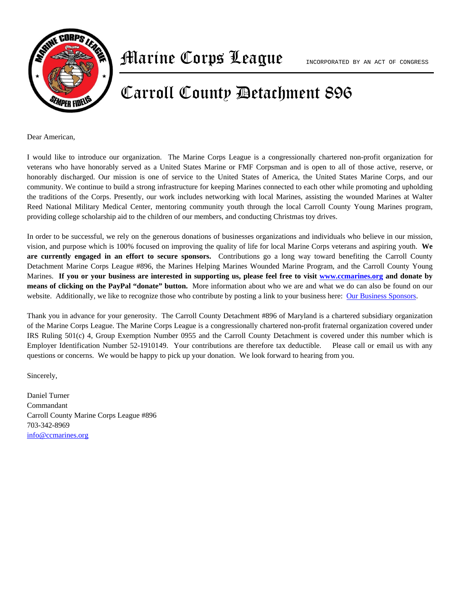

Harine Corps League Incorporated BY AN ACT OF CONGRESS

## Carroll County Detachment 896

Dear American,

I would like to introduce our organization. The Marine Corps League is a congressionally chartered non-profit organization for veterans who have honorably served as a United States Marine or FMF Corpsman and is open to all of those active, reserve, or honorably discharged. Our mission is one of service to the United States of America, the United States Marine Corps, and our community. We continue to build a strong infrastructure for keeping Marines connected to each other while promoting and upholding the traditions of the Corps. Presently, our work includes networking with local Marines, assisting the wounded Marines at Walter Reed National Military Medical Center, mentoring community youth through the local Carroll County Young Marines program, providing college scholarship aid to the children of our members, and conducting Christmas toy drives.

In order to be successful, we rely on the generous donations of businesses organizations and individuals who believe in our mission, vision, and purpose which is 100% focused on improving the quality of life for local Marine Corps veterans and aspiring youth. **We are currently engaged in an effort to secure sponsors.** Contributions go a long way toward benefiting the Carroll County Detachment Marine Corps League #896, the Marines Helping Marines Wounded Marine Program, and the Carroll County Young Marines. **If you or your business are interested in supporting us, please feel free to visit www.ccmarines.org and donate by means of clicking on the PayPal "donate" button.** More information about who we are and what we do can also be found on our website. Additionally, we like to recognize those who contribute by posting a link to your business here: Our Business Sponsors.

Thank you in advance for your generosity. The Carroll County Detachment #896 of Maryland is a chartered subsidiary organization of the Marine Corps League. The Marine Corps League is a congressionally chartered non-profit fraternal organization covered under IRS Ruling 501(c) 4, Group Exemption Number 0955 and the Carroll County Detachment is covered under this number which is Employer Identification Number 52-1910149. Your contributions are therefore tax deductible. Please call or email us with any questions or concerns. We would be happy to pick up your donation. We look forward to hearing from you.

Sincerely,

Daniel Turner Commandant Carroll County Marine Corps League #896 703-342-8969 info@ccmarines.org